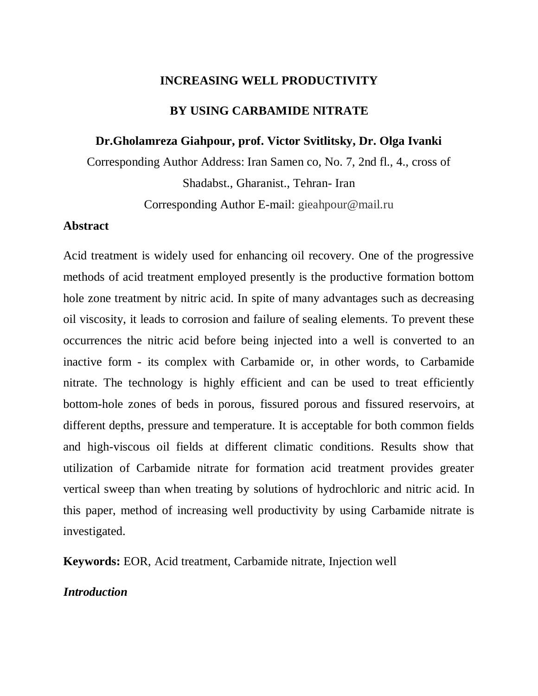### **INCREASING WELL PRODUCTIVITY**

### **BY USING CARBAMIDE NITRATE**

### **Dr.Gholamreza Giahpour, prof. Victor Svitlitsky, Dr. Olga Ivanki**

Corresponding Author Address: Iran Samen co, No. 7, 2nd fl., 4., cross of Shadabst., Gharanist., Tehran- Iran

Corresponding Author E-mail: gieahpour@mail.ru

### **Abstract**

Acid treatment is widely used for enhancing oil recovery. One of the progressive methods of acid treatment employed presently is the productive formation bottom hole zone treatment by nitric acid. In spite of many advantages such as decreasing oil viscosity, it leads to corrosion and failure of sealing elements. To prevent these occurrences the nitric acid before being injected into a well is converted to an inactive form - its complex with Carbamide or, in other words, to Carbamide nitrate. The technology is highly efficient and can be used to treat efficiently bottom-hole zones of beds in porous, fissured porous and fissured reservoirs, at different depths, pressure and temperature. It is acceptable for both common fields and high-viscous oil fields at different climatic conditions. Results show that utilization of Carbamide nitrate for formation acid treatment provides greater vertical sweep than when treating by solutions of hydrochloric and nitric acid. In this paper, method of increasing well productivity by using Carbamide nitrate is investigated.

**Keywords:** EOR, Acid treatment, Carbamide nitrate, Injection well

## *Introduction*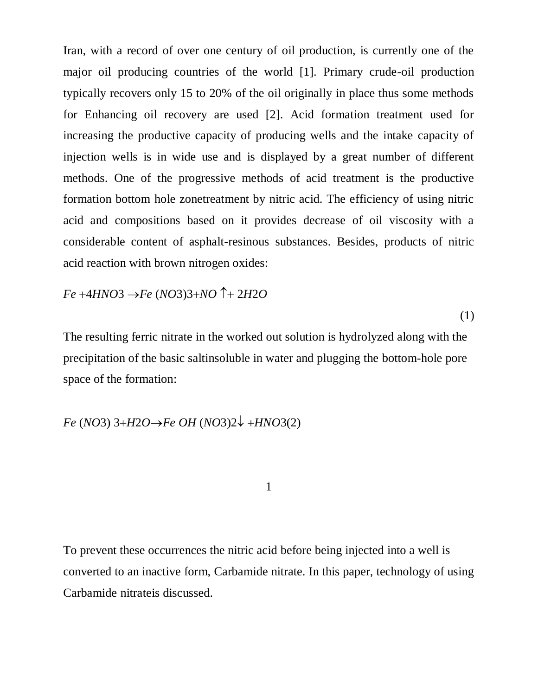Iran, with a record of over one century of oil production, is currently one of the major oil producing countries of the world [1]. Primary crude-oil production typically recovers only 15 to 20% of the oil originally in place thus some methods for Enhancing oil recovery are used [2]. Acid formation treatment used for increasing the productive capacity of producing wells and the intake capacity of injection wells is in wide use and is displayed by a great number of different methods. One of the progressive methods of acid treatment is the productive formation bottom hole zonetreatment by nitric acid. The efficiency of using nitric acid and compositions based on it provides decrease of oil viscosity with a considerable content of asphalt-resinous substances. Besides, products of nitric acid reaction with brown nitrogen oxides:

 $Fe +4HNO3 \rightarrow Fe (NO3)3 + NO \uparrow + 2H2O$ 

(1)

The resulting ferric nitrate in the worked out solution is hydrolyzed along with the precipitation of the basic saltinsoluble in water and plugging the bottom-hole pore space of the formation:

*Fe* (*NO*3) 3+*H*2*O* $\rightarrow$ *Fe OH* (*NO*3)2 $\downarrow$  +*HNO*3(2)

1

To prevent these occurrences the nitric acid before being injected into a well is converted to an inactive form, Carbamide nitrate. In this paper, technology of using Carbamide nitrateis discussed.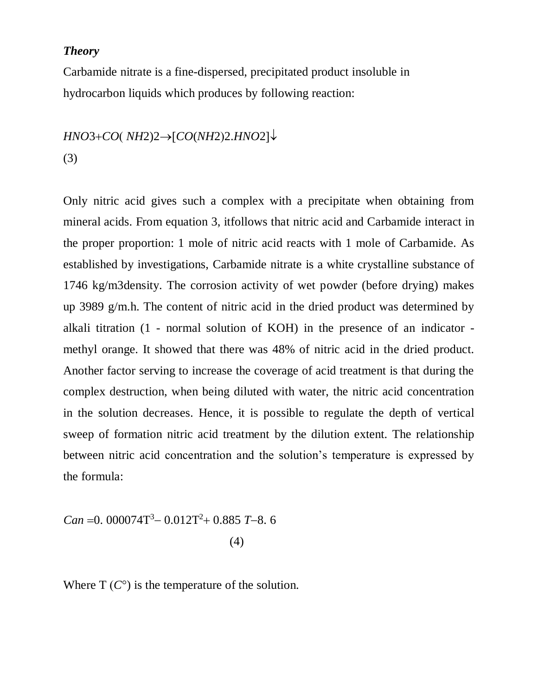### *Theory*

Carbamide nitrate is a fine-dispersed, precipitated product insoluble in hydrocarbon liquids which produces by following reaction:

# $HNO3+CO(NH2)2 \rightarrow [CO(NH2)2.HNO2] \downarrow$ (3)

Only nitric acid gives such a complex with a precipitate when obtaining from mineral acids. From equation 3, itfollows that nitric acid and Carbamide interact in the proper proportion: 1 mole of nitric acid reacts with 1 mole of Carbamide. As established by investigations, Carbamide nitrate is a white crystalline substance of 1746 kg/m3density. The corrosion activity of wet powder (before drying) makes up 3989 g/m.h. The content of nitric acid in the dried product was determined by alkali titration (1 - normal solution of KOH) in the presence of an indicator methyl orange. It showed that there was 48% of nitric acid in the dried product. Another factor serving to increase the coverage of acid treatment is that during the complex destruction, when being diluted with water, the nitric acid concentration in the solution decreases. Hence, it is possible to regulate the depth of vertical sweep of formation nitric acid treatment by the dilution extent. The relationship between nitric acid concentration and the solution's temperature is expressed by the formula:

 0.885 *T*8. 6 <sup>2</sup> 0.012T <sup>3</sup> *Can* 0. 000074T (4)

Where  $T(C^{\circ})$  is the temperature of the solution.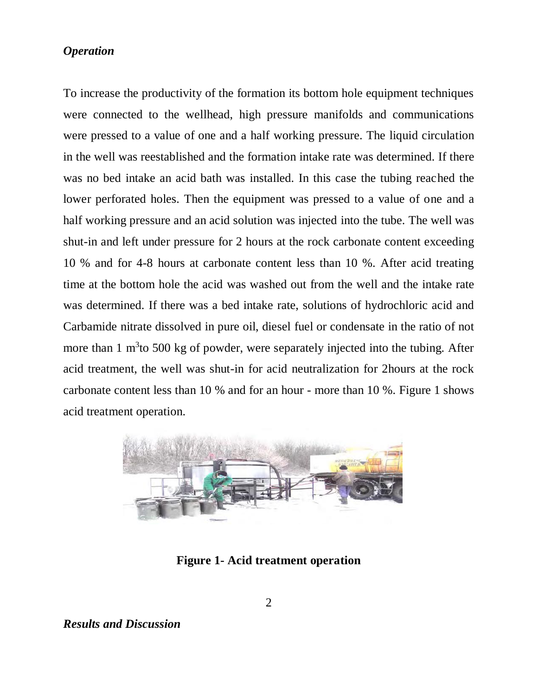## *Operation*

To increase the productivity of the formation its bottom hole equipment techniques were connected to the wellhead, high pressure manifolds and communications were pressed to a value of one and a half working pressure. The liquid circulation in the well was reestablished and the formation intake rate was determined. If there was no bed intake an acid bath was installed. In this case the tubing reached the lower perforated holes. Then the equipment was pressed to a value of one and a half working pressure and an acid solution was injected into the tube. The well was shut-in and left under pressure for 2 hours at the rock carbonate content exceeding 10 % and for 4-8 hours at carbonate content less than 10 %. After acid treating time at the bottom hole the acid was washed out from the well and the intake rate was determined. If there was a bed intake rate, solutions of hydrochloric acid and Carbamide nitrate dissolved in pure oil, diesel fuel or condensate in the ratio of not more than 1  $m<sup>3</sup>$ to 500 kg of powder, were separately injected into the tubing. After acid treatment, the well was shut-in for acid neutralization for 2hours at the rock carbonate content less than 10 % and for an hour - more than 10 %. Figure 1 shows acid treatment operation.



**Figure 1- Acid treatment operation**

*Results and Discussion*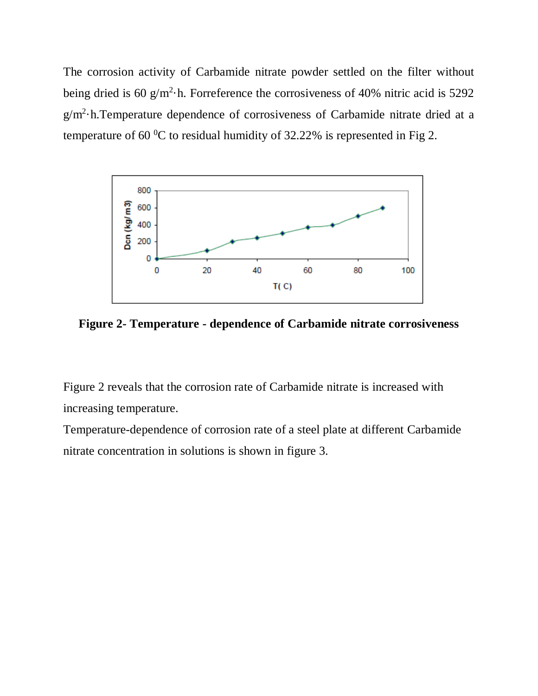The corrosion activity of Carbamide nitrate powder settled on the filter without being dried is 60 g/m<sup>2</sup> $\cdot$ h. Forreference the corrosiveness of 40% nitric acid is 5292  $g/m^2$ ·h. Temperature dependence of corrosiveness of Carbamide nitrate dried at a temperature of 60 $\mathrm{^{0}C}$  to residual humidity of 32.22% is represented in Fig 2.



**Figure 2- Temperature - dependence of Carbamide nitrate corrosiveness**

Figure 2 reveals that the corrosion rate of Carbamide nitrate is increased with increasing temperature.

Temperature-dependence of corrosion rate of a steel plate at different Carbamide nitrate concentration in solutions is shown in figure 3.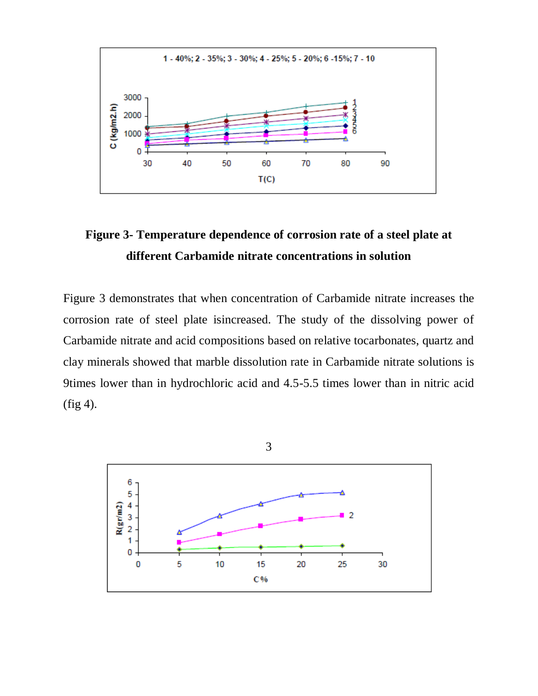

# **Figure 3- Temperature dependence of corrosion rate of a steel plate at different Carbamide nitrate concentrations in solution**

Figure 3 demonstrates that when concentration of Carbamide nitrate increases the corrosion rate of steel plate isincreased. The study of the dissolving power of Carbamide nitrate and acid compositions based on relative tocarbonates, quartz and clay minerals showed that marble dissolution rate in Carbamide nitrate solutions is 9times lower than in hydrochloric acid and 4.5-5.5 times lower than in nitric acid  $(fig 4)$ .

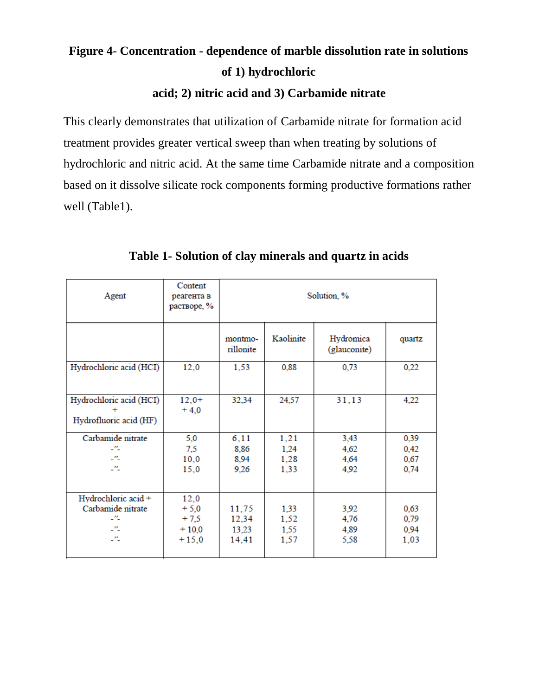# **Figure 4- Concentration - dependence of marble dissolution rate in solutions of 1) hydrochloric**

# **acid; 2) nitric acid and 3) Carbamide nitrate**

This clearly demonstrates that utilization of Carbamide nitrate for formation acid treatment provides greater vertical sweep than when treating by solutions of hydrochloric and nitric acid. At the same time Carbamide nitrate and a composition based on it dissolve silicate rock components forming productive formations rather well (Table1).

| Agent                                                         | Content<br>реагента в<br>растворе, %           | Solution, %                      |                              |                              |                              |  |
|---------------------------------------------------------------|------------------------------------------------|----------------------------------|------------------------------|------------------------------|------------------------------|--|
|                                                               |                                                | montmo-<br>rillonite             | Kaolinite                    | Hydromica<br>(glauconite)    | quartz                       |  |
| Hydrochloric acid (HCI)                                       | 12,0                                           | 1,53                             | 0,88                         | 0,73                         | 0,22                         |  |
| Hydrochloric acid (HCI)<br>Hydrofluoric acid (HF)             | $12,0+$<br>$+4.0$                              | 32,34                            | 24,57                        | 31,13                        | 4,22                         |  |
| Carbamide nitrate<br>-11<br>25<br>25                          | 5,0<br>7,5<br>10,0<br>15,0                     | 6, 11<br>8,86<br>8,94<br>9,26    | 1,21<br>1,24<br>1,28<br>1,33 | 3,43<br>4,62<br>4,64<br>4,92 | 0,39<br>0,42<br>0,67<br>0,74 |  |
| Hydrochloric acid +<br>Carbamide nitrate<br>-11<br>-11<br>-11 | 12,0<br>$+5,0$<br>$+7,5$<br>$+10,0$<br>$+15,0$ | 11,75<br>12,34<br>13,23<br>14,41 | 1,33<br>1,52<br>1,55<br>1,57 | 3,92<br>4,76<br>4,89<br>5,58 | 0,63<br>0,79<br>0,94<br>1,03 |  |

## **Table 1- Solution of clay minerals and quartz in acids**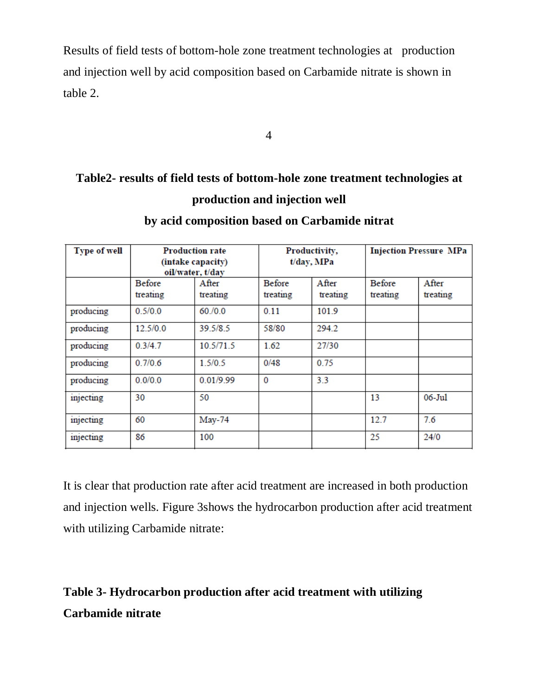Results of field tests of bottom-hole zone treatment technologies at production and injection well by acid composition based on Carbamide nitrate is shown in table 2.

4

# **Table2- results of field tests of bottom-hole zone treatment technologies at production and injection well**

| <b>Type of well</b> | <b>Production rate</b><br>(intake capacity)<br>oil/water, t/day |                   | Productivity,<br>t/day, MPa |                   | <b>Injection Pressure MPa</b> |                   |
|---------------------|-----------------------------------------------------------------|-------------------|-----------------------------|-------------------|-------------------------------|-------------------|
|                     | <b>Before</b><br>treating                                       | After<br>treating | <b>Before</b><br>treating   | After<br>treating | <b>Before</b><br>treating     | After<br>treating |
| producing           | 0.5/0.0                                                         | 60/0.0            | 0.11                        | 101.9             |                               |                   |
| producing           | 12.5/0.0                                                        | 39.5/8.5          | 58/80                       | 294.2             |                               |                   |
| producing           | 0.3/4.7                                                         | 10.5/71.5         | 1.62                        | 27/30             |                               |                   |
| producing           | 0.7/0.6                                                         | 1.5/0.5           | 0/48                        | 0.75              |                               |                   |
| producing           | 0.0/0.0                                                         | 0.01/9.99         | $\mathbf{0}$                | 3.3               |                               |                   |
| injecting           | 30                                                              | 50                |                             |                   | 13                            | 06-Jul            |
| injecting           | 60                                                              | $May-74$          |                             |                   | 12.7                          | 7.6               |
| injecting           | 86                                                              | 100               |                             |                   | 25                            | 24/0              |

# **by acid composition based on Carbamide nitrat**

It is clear that production rate after acid treatment are increased in both production and injection wells. Figure 3shows the hydrocarbon production after acid treatment with utilizing Carbamide nitrate:

# **Table 3- Hydrocarbon production after acid treatment with utilizing Carbamide nitrate**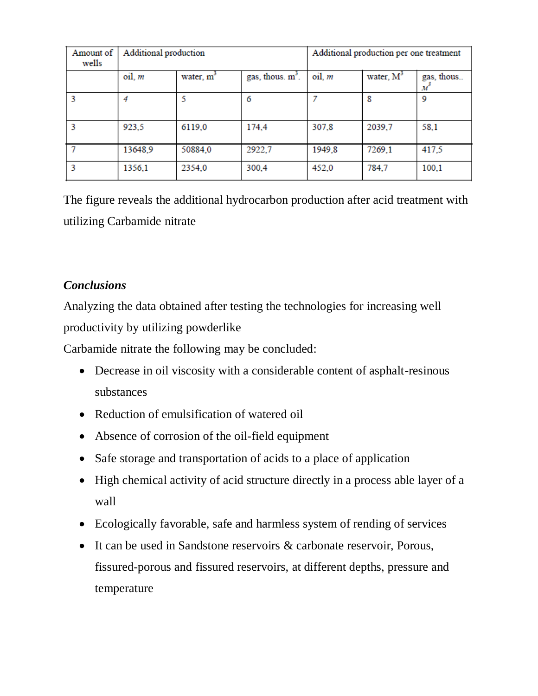| Amount of<br>wells | Additional production |                       |                     | Additional production per one treatment |              |                                |
|--------------------|-----------------------|-----------------------|---------------------|-----------------------------------------|--------------|--------------------------------|
|                    | oil, m                | water, m <sup>3</sup> | gas, thous. $m^3$ . | $oil. m$                                | water, $M^3$ | gas, thous<br>$\boldsymbol{M}$ |
| 3                  | 4                     | 5                     | 6                   |                                         | 8            | 9                              |
| 3                  | 923,5                 | 6119,0                | 174,4               | 307,8                                   | 2039,7       | 58,1                           |
|                    | 13648,9               | 50884,0               | 2922,7              | 1949,8                                  | 7269,1       | 417,5                          |
|                    | 1356,1                | 2354,0                | 300,4               | 452,0                                   | 784,7        | 100,1                          |

The figure reveals the additional hydrocarbon production after acid treatment with utilizing Carbamide nitrate

## *Conclusions*

Analyzing the data obtained after testing the technologies for increasing well productivity by utilizing powderlike

Carbamide nitrate the following may be concluded:

- Decrease in oil viscosity with a considerable content of asphalt-resinous substances
- Reduction of emulsification of watered oil
- Absence of corrosion of the oil-field equipment
- Safe storage and transportation of acids to a place of application
- High chemical activity of acid structure directly in a process able layer of a wall
- Ecologically favorable, safe and harmless system of rending of services
- It can be used in Sandstone reservoirs & carbonate reservoir, Porous, fissured-porous and fissured reservoirs, at different depths, pressure and temperature